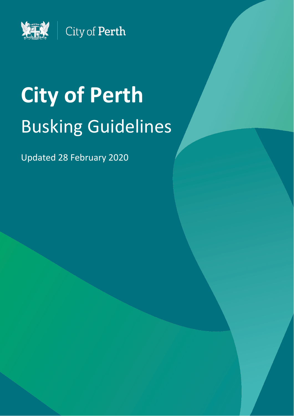

# **City of Perth** Busking Guidelines

Updated 28 February 2020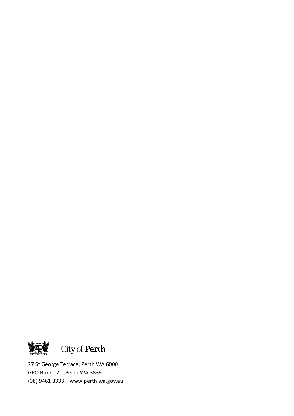<span id="page-1-0"></span>

27 St George Terrace, Perth WA 6000 GPO Box C120, Perth WA 3839 (08) 9461 3333 | www.perth.wa.gov.au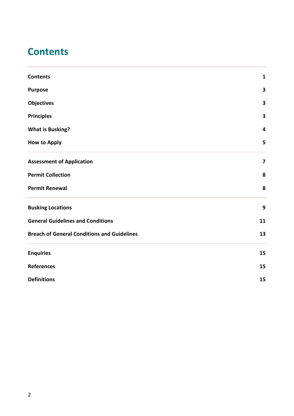# **Contents**

<span id="page-2-0"></span>

| <b>Contents</b>                                    | $\mathbf{1}$            |
|----------------------------------------------------|-------------------------|
| <b>Purpose</b>                                     | 3                       |
| <b>Objectives</b>                                  | 3                       |
| <b>Principles</b>                                  | 3                       |
| <b>What is Busking?</b>                            | 4                       |
| <b>How to Apply</b>                                | 5                       |
| <b>Assessment of Application</b>                   | $\overline{\mathbf{z}}$ |
| <b>Permit Collection</b>                           | 8                       |
| <b>Permit Renewal</b>                              | 8                       |
| <b>Busking Locations</b>                           | 9                       |
| <b>General Guidelines and Conditions</b>           | 11                      |
| <b>Breach of General Conditions and Guidelines</b> | 13                      |
| <b>Enquiries</b>                                   | 15                      |
| <b>References</b>                                  | 15                      |
| <b>Definitions</b>                                 | 15                      |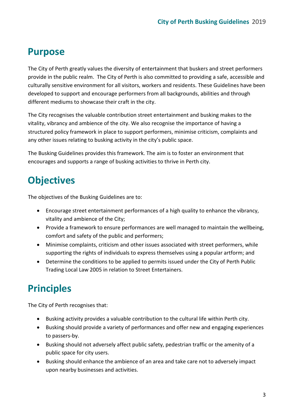# **Purpose**

The City of Perth greatly values the diversity of entertainment that buskers and street performers provide in the public realm. The City of Perth is also committed to providing a safe, accessible and culturally sensitive environment for all visitors, workers and residents. These Guidelines have been developed to support and encourage performers from all backgrounds, abilities and through different mediums to showcase their craft in the city.

The City recognises the valuable contribution street entertainment and busking makes to the vitality, vibrancy and ambience of the city. We also recognise the importance of having a structured policy framework in place to support performers, minimise criticism, complaints and any other issues relating to busking activity in the city's public space.

The Busking Guidelines provides this framework. The aim is to foster an environment that encourages and supports a range of busking activities to thrive in Perth city.

# <span id="page-3-0"></span>**Objectives**

The objectives of the Busking Guidelines are to:

- Encourage street entertainment performances of a high quality to enhance the vibrancy, vitality and ambience of the City;
- Provide a framework to ensure performances are well managed to maintain the wellbeing, comfort and safety of the public and performers;
- Minimise complaints, criticism and other issues associated with street performers, while supporting the rights of individuals to express themselves using a popular artform; and
- Determine the conditions to be applied to permits issued under the City of Perth Public Trading Local Law 2005 in relation to Street Entertainers.

# <span id="page-3-1"></span>**Principles**

The City of Perth recognises that:

- Busking activity provides a valuable contribution to the cultural life within Perth city.
- Busking should provide a variety of performances and offer new and engaging experiences to passers-by.
- Busking should not adversely affect public safety, pedestrian traffic or the amenity of a public space for city users.
- Busking should enhance the ambience of an area and take care not to adversely impact upon nearby businesses and activities.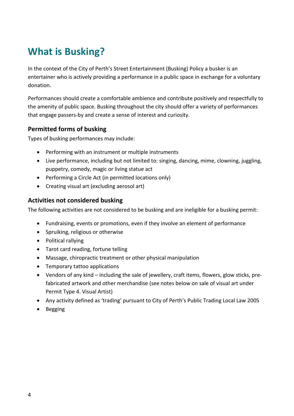# <span id="page-4-0"></span>**What is Busking?**

In the context of the City of Perth's Street Entertainment (Busking) Policy a busker is an entertainer who is actively providing a performance in a public space in exchange for a voluntary donation.

Performances should create a comfortable ambience and contribute positively and respectfully to the amenity of public space. Busking throughout the city should offer a variety of performances that engage passers-by and create a sense of interest and curiosity.

#### **Permitted forms of busking**

Types of busking performances may include:

- Performing with an instrument or multiple instruments
- Live performance, including but not limited to: singing, dancing, mime, clowning, juggling, puppetry, comedy, magic or living statue act
- Performing a Circle Act (in permitted locations only)
- Creating visual art (excluding aerosol art)

#### **Activities not considered busking**

The following activities are not considered to be busking and are ineligible for a busking permit:

- Fundraising, events or promotions, even if they involve an element of performance
- Spruiking, religious or otherwise
- Political rallying
- Tarot card reading, fortune telling
- Massage, chiropractic treatment or other physical manipulation
- Temporary tattoo applications
- Vendors of any kind including the sale of jewellery, craft items, flowers, glow sticks, prefabricated artwork and other merchandise (see notes below on sale of visual art under Permit Type 4. Visual Artist)
- Any activity defined as 'trading' pursuant to City of Perth's Public Trading Local Law 2005
- <span id="page-4-1"></span>• Begging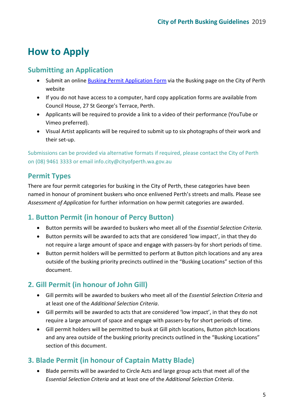# **How to Apply**

### **Submitting an Application**

- Submit an online [Busking Permit Application Form](https://www.perth.wa.gov.au/en/forms-and-payments/arts-heritage-grants-and-sponsorship/Arts/busker-permit-application) via the Busking page on the City of Perth website
- If you do not have access to a computer, hard copy application forms are available from Council House, 27 St George's Terrace, Perth.
- Applicants will be required to provide a link to a video of their performance (YouTube or Vimeo preferred).
- Visual Artist applicants will be required to submit up to six photographs of their work and their set-up.

Submissions can be provided via alternative formats if required, please contact the City of Perth on (08) 9461 3333 or email info.city@cityofperth.wa.gov.au

# **Permit Types**

There are four permit categories for busking in the City of Perth, these categories have been named in honour of prominent buskers who once enlivened Perth's streets and malls. Please see *Assessment of Application* for further information on how permit categories are awarded.

### **1. Button Permit (in honour of Percy Button)**

- Button permits will be awarded to buskers who meet all of the *Essential Selection Criteria*.
- Button permits will be awarded to acts that are considered 'low impact', in that they do not require a large amount of space and engage with passers-by for short periods of time.
- Button permit holders will be permitted to perform at Button pitch locations and any area outside of the busking priority precincts outlined in the "Busking Locations" section of this document.

### **2. Gill Permit (in honour of John Gill)**

- Gill permits will be awarded to buskers who meet all of the *Essential Selection Criteria* and at least one of the *Additional Selection Criteria*.
- Gill permits will be awarded to acts that are considered 'low impact', in that they do not require a large amount of space and engage with passers-by for short periods of time.
- Gill permit holders will be permitted to busk at Gill pitch locations, Button pitch locations and any area outside of the busking priority precincts outlined in the "Busking Locations" section of this document.

### **3. Blade Permit (in honour of Captain Matty Blade)**

• Blade permits will be awarded to Circle Acts and large group acts that meet all of the *Essential Selection Criteria* and at least one of the *Additional Selection Criteria*.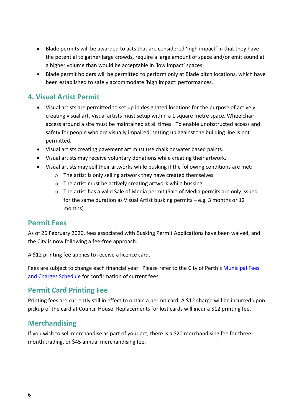- Blade permits will be awarded to acts that are considered 'high impact' in that they have the potential to gather large crowds, require a large amount of space and/or emit sound at a higher volume than would be acceptable in 'low impact' spaces.
- Blade permit holders will be permitted to perform only at Blade pitch locations, which have been established to safely accommodate 'high impact' performances.

#### **4. Visual Artist Permit**

- Visual artists are permitted to set up in designated locations for the purpose of actively creating visual art. Visual artists must setup within a 1 square metre space. Wheelchair access around a site must be maintained at all times. To enable unobstructed access and safety for people who are visually impaired, setting up against the building line is not permitted.
- Visual artists creating pavement art must use chalk or water based paints.
- Visual artists may receive voluntary donations while creating their artwork.
- Visual artists may sell their artworks while busking if the following conditions are met:
	- o The artist is only selling artwork they have created themselves
	- o The artist must be actively creating artwork while busking
	- o The artist has a valid Sale of Media permit (Sale of Media permits are only issued for the same duration as Visual Artist busking permits – e.g. 3 months or 12 months)

#### **Permit Fees**

As of 26 February 2020, fees associated with Busking Permit Applications have been waived, and the City is now following a fee-free approach.

A \$12 printing fee applies to receive a licence card.

Fees are subject to change each financial year. Please refer to the City of Perth's [Municipal Fees](https://www.perth.wa.gov.au/council/finance-and-corporate-documents/municipal-fees-and-charges)  [and Charges Schedule](https://www.perth.wa.gov.au/council/finance-and-corporate-documents/municipal-fees-and-charges) for confirmation of current fees.

#### <span id="page-6-0"></span>**Permit Card Printing Fee**

Printing fees are currently still in effect to obtain a permit card. A \$12 charge will be incurred upon pickup of the card at Council House. Replacements for lost cards will incur a \$12 printing fee.

#### **Merchandising**

If you wish to sell merchandise as part of your act, there is a \$20 merchandising fee for three month trading, or \$45 annual merchandising fee.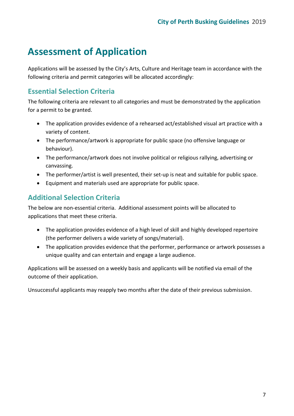# **Assessment of Application**

Applications will be assessed by the City's Arts, Culture and Heritage team in accordance with the following criteria and permit categories will be allocated accordingly:

## **Essential Selection Criteria**

The following criteria are relevant to all categories and must be demonstrated by the application for a permit to be granted.

- The application provides evidence of a rehearsed act/established visual art practice with a variety of content.
- The performance/artwork is appropriate for public space (no offensive language or behaviour).
- The performance/artwork does not involve political or religious rallying, advertising or canvassing.
- The performer/artist is well presented, their set-up is neat and suitable for public space.
- Equipment and materials used are appropriate for public space.

### **Additional Selection Criteria**

The below are non-essential criteria. Additional assessment points will be allocated to applications that meet these criteria.

- The application provides evidence of a high level of skill and highly developed repertoire (the performer delivers a wide variety of songs/material).
- The application provides evidence that the performer, performance or artwork possesses a unique quality and can entertain and engage a large audience.

Applications will be assessed on a weekly basis and applicants will be notified via email of the outcome of their application.

Unsuccessful applicants may reapply two months after the date of their previous submission.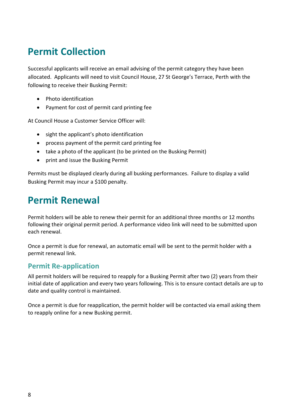# **Permit Collection**

Successful applicants will receive an email advising of the permit category they have been allocated. Applicants will need to visit Council House, 27 St George's Terrace, Perth with the following to receive their Busking Permit:

- Photo identification
- Payment for cost of permit card printing fee

At Council House a Customer Service Officer will:

- sight the applicant's photo identification
- process payment of the permit card printing fee
- take a photo of the applicant (to be printed on the Busking Permit)
- print and issue the Busking Permit

Permits must be displayed clearly during all busking performances. Failure to display a valid Busking Permit may incur a \$100 penalty.

# <span id="page-8-0"></span>**Permit Renewal**

Permit holders will be able to renew their permit for an additional three months or 12 months following their original permit period. A performance video link will need to be submitted upon each renewal.

Once a permit is due for renewal, an automatic email will be sent to the permit holder with a permit renewal link.

#### **Permit Re-application**

All permit holders will be required to reapply for a Busking Permit after two (2) years from their initial date of application and every two years following. This is to ensure contact details are up to date and quality control is maintained.

Once a permit is due for reapplication, the permit holder will be contacted via email asking them to reapply online for a new Busking permit.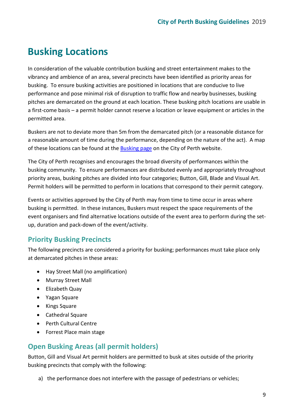# **Busking Locations**

In consideration of the valuable contribution busking and street entertainment makes to the vibrancy and ambience of an area, several precincts have been identified as priority areas for busking. To ensure busking activities are positioned in locations that are conducive to live performance and pose minimal risk of disruption to traffic flow and nearby businesses, busking pitches are demarcated on the ground at each location. These busking pitch locations are usable in a first-come basis – a permit holder cannot reserve a location or leave equipment or articles in the permitted area.

Buskers are not to deviate more than 5m from the demarcated pitch (or a reasonable distance for a reasonable amount of time during the performance, depending on the nature of the act). A map of these locations can be found at the **Busking page** on the City of Perth website.

The City of Perth recognises and encourages the broad diversity of performances within the busking community. To ensure performances are distributed evenly and appropriately throughout priority areas, busking pitches are divided into four categories; Button, Gill, Blade and Visual Art. Permit holders will be permitted to perform in locations that correspond to their permit category.

Events or activities approved by the City of Perth may from time to time occur in areas where busking is permitted. In these instances, Buskers must respect the space requirements of the event organisers and find alternative locations outside of the event area to perform during the setup, duration and pack-down of the event/activity.

### **Priority Busking Precincts**

The following precincts are considered a priority for busking; performances must take place only at demarcated pitches in these areas:

- Hay Street Mall (no amplification)
- Murray Street Mall
- Elizabeth Quay
- Yagan Square
- Kings Square
- Cathedral Square
- Perth Cultural Centre
- Forrest Place main stage

### **Open Busking Areas (all permit holders)**

Button, Gill and Visual Art permit holders are permitted to busk at sites outside of the priority busking precincts that comply with the following:

a) the performance does not interfere with the passage of pedestrians or vehicles;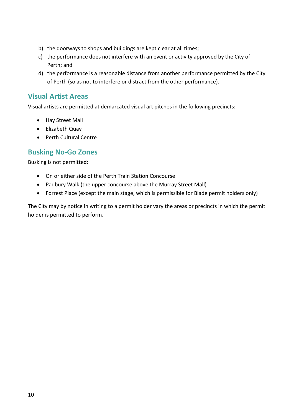- b) the doorways to shops and buildings are kept clear at all times;
- c) the performance does not interfere with an event or activity approved by the City of Perth; and
- d) the performance is a reasonable distance from another performance permitted by the City of Perth (so as not to interfere or distract from the other performance).

#### **Visual Artist Areas**

Visual artists are permitted at demarcated visual art pitches in the following precincts:

- Hay Street Mall
- Elizabeth Quay
- Perth Cultural Centre

#### **Busking No-Go Zones**

Busking is not permitted:

- On or either side of the Perth Train Station Concourse
- Padbury Walk (the upper concourse above the Murray Street Mall)
- Forrest Place (except the main stage, which is permissible for Blade permit holders only)

<span id="page-10-0"></span>The City may by notice in writing to a permit holder vary the areas or precincts in which the permit holder is permitted to perform.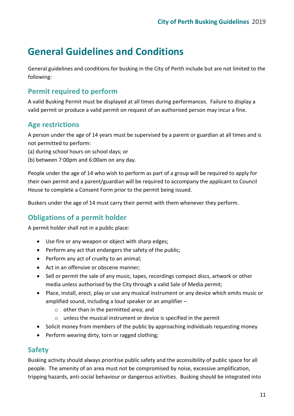# **General Guidelines and Conditions**

General guidelines and conditions for busking in the City of Perth include but are not limited to the following:

### **Permit required to perform**

A valid Busking Permit must be displayed at all times during performances. Failure to display a valid permit or produce a valid permit on request of an authorised person may incur a fine.

### **Age restrictions**

A person under the age of 14 years must be supervised by a parent or guardian at all times and is not permitted to perform:

- (a) during school hours on school days; or
- (b) between 7:00pm and 6:00am on any day.

People under the age of 14 who wish to perform as part of a group will be required to apply for their own permit and a parent/guardian will be required to accompany the applicant to Council House to complete a Consent Form prior to the permit being issued.

Buskers under the age of 14 must carry their permit with them whenever they perform.

### **Obligations of a permit holder**

A permit holder shall not in a public place:

- Use fire or any weapon or object with sharp edges;
- Perform any act that endangers the safety of the public;
- Perform any act of cruelty to an animal;
- Act in an offensive or obscene manner;
- Sell or permit the sale of any music, tapes, recordings compact discs, artwork or other media unless authorised by the City through a valid Sale of Media permit;
- Place, install, erect, play or use any musical instrument or any device which emits music or amplified sound, including a loud speaker or an amplifier –
	- o other than in the permitted area; and
	- o unless the musical instrument or device is specified in the permit
- Solicit money from members of the public by approaching individuals requesting money
- Perform wearing dirty, torn or ragged clothing;

#### **Safety**

Busking activity should always prioritise public safety and the accessibility of public space for all people. The amenity of an area must not be compromised by noise, excessive amplification, tripping hazards, anti-social behaviour or dangerous activities. Busking should be integrated into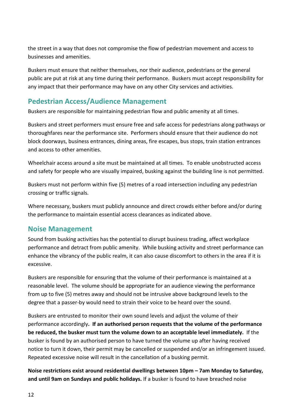the street in a way that does not compromise the flow of pedestrian movement and access to businesses and amenities.

Buskers must ensure that neither themselves, nor their audience, pedestrians or the general public are put at risk at any time during their performance. Buskers must accept responsibility for any impact that their performance may have on any other City services and activities.

### **Pedestrian Access/Audience Management**

Buskers are responsible for maintaining pedestrian flow and public amenity at all times.

Buskers and street performers must ensure free and safe access for pedestrians along pathways or thoroughfares near the performance site. Performers should ensure that their audience do not block doorways, business entrances, dining areas, fire escapes, bus stops, train station entrances and access to other amenities.

Wheelchair access around a site must be maintained at all times. To enable unobstructed access and safety for people who are visually impaired, busking against the building line is not permitted.

Buskers must not perform within five (5) metres of a road intersection including any pedestrian crossing or traffic signals.

Where necessary, buskers must publicly announce and direct crowds either before and/or during the performance to maintain essential access clearances as indicated above.

#### **Noise Management**

Sound from busking activities has the potential to disrupt business trading, affect workplace performance and detract from public amenity. While busking activity and street performance can enhance the vibrancy of the public realm, it can also cause discomfort to others in the area if it is excessive.

Buskers are responsible for ensuring that the volume of their performance is maintained at a reasonable level. The volume should be appropriate for an audience viewing the performance from up to five (5) metres away and should not be intrusive above background levels to the degree that a passer-by would need to strain their voice to be heard over the sound.

Buskers are entrusted to monitor their own sound levels and adjust the volume of their performance accordingly**. If an authorised person requests that the volume of the performance be reduced, the busker must turn the volume down to an acceptable level immediately.** If the busker is found by an authorised person to have turned the volume up after having received notice to turn it down, their permit may be cancelled or suspended and/or an infringement issued. Repeated excessive noise will result in the cancellation of a busking permit.

**Noise restrictions exist around residential dwellings between 10pm – 7am Monday to Saturday, and until 9am on Sundays and public holidays.** If a busker is found to have breached noise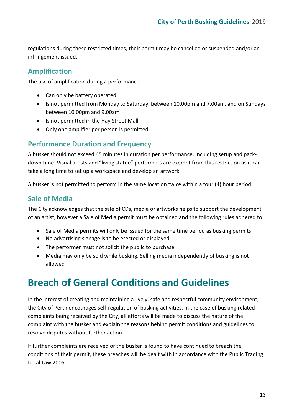regulations during these restricted times, their permit may be cancelled or suspended and/or an infringement issued.

## **Amplification**

The use of amplification during a performance:

- Can only be battery operated
- Is not permitted from Monday to Saturday, between 10.00pm and 7.00am, and on Sundays between 10.00pm and 9.00am
- Is not permitted in the Hay Street Mall
- Only one amplifier per person is permitted

### **Performance Duration and Frequency**

A busker should not exceed 45 minutes in duration per performance, including setup and packdown time. Visual artists and "living statue" performers are exempt from this restriction as it can take a long time to set up a workspace and develop an artwork.

A busker is not permitted to perform in the same location twice within a four (4) hour period.

### **Sale of Media**

The City acknowledges that the sale of CDs, media or artworks helps to support the development of an artist, however a Sale of Media permit must be obtained and the following rules adhered to:

- <span id="page-13-0"></span>• Sale of Media permits will only be issued for the same time period as busking permits
- No advertising signage is to be erected or displayed
- The performer must not solicit the public to purchase
- Media may only be sold while busking. Selling media independently of busking is not allowed

# **Breach of General Conditions and Guidelines**

In the interest of creating and maintaining a lively, safe and respectful community environment, the City of Perth encourages self-regulation of busking activities. In the case of busking related complaints being received by the City, all efforts will be made to discuss the nature of the complaint with the busker and explain the reasons behind permit conditions and guidelines to resolve disputes without further action.

If further complaints are received or the busker is found to have continued to breach the conditions of their permit, these breaches will be dealt with in accordance with the Public Trading Local Law 2005.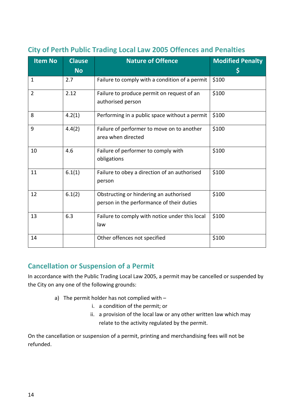| <b>Item No</b> | <b>Clause</b><br><b>No</b> | <b>Nature of Offence</b>                                                            | <b>Modified Penalty</b><br>\$ |
|----------------|----------------------------|-------------------------------------------------------------------------------------|-------------------------------|
| $\mathbf{1}$   | 2.7                        | Failure to comply with a condition of a permit                                      | \$100                         |
| $\overline{2}$ | 2.12                       | Failure to produce permit on request of an<br>authorised person                     | \$100                         |
| 8              | 4.2(1)                     | Performing in a public space without a permit                                       | \$100                         |
| 9              | 4.4(2)                     | Failure of performer to move on to another<br>area when directed                    | \$100                         |
| 10             | 4.6                        | Failure of performer to comply with<br>obligations                                  | \$100                         |
| 11             | 6.1(1)                     | Failure to obey a direction of an authorised<br>person                              | \$100                         |
| 12             | 6.1(2)                     | Obstructing or hindering an authorised<br>person in the performance of their duties | \$100                         |
| 13             | 6.3                        | Failure to comply with notice under this local<br>law                               | \$100                         |
| 14             |                            | Other offences not specified                                                        | \$100                         |

# **City of Perth Public Trading Local Law 2005 Offences and Penalties**

### **Cancellation or Suspension of a Permit**

In accordance with the Public Trading Local Law 2005, a permit may be cancelled or suspended by the City on any one of the following grounds:

- a) The permit holder has not complied with
	- i. a condition of the permit; or
	- ii. a provision of the local law or any other written law which may relate to the activity regulated by the permit.

On the cancellation or suspension of a permit, printing and merchandising fees will not be refunded.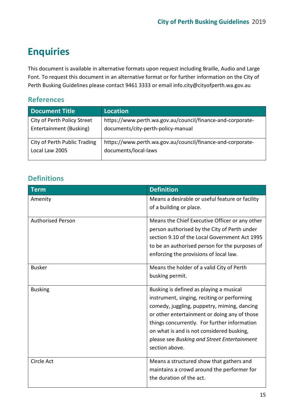# **Enquiries**

This document is available in alternative formats upon request including Braille, Audio and Large Font. To request this document in an alternative format or for further information on the City of Perth Busking Guidelines please contact 9461 3333 or email info.city@cityofperth.wa.gov.au

# <span id="page-15-0"></span>**References**

| <b>Document Title</b>        | Location                                                   |
|------------------------------|------------------------------------------------------------|
| City of Perth Policy Street  | https://www.perth.wa.gov.au/council/finance-and-corporate- |
| Entertainment (Busking)      | documents/city-perth-policy-manual                         |
| City of Perth Public Trading | https://www.perth.wa.gov.au/council/finance-and-corporate- |
| Local Law 2005               | documents/local-laws                                       |

### <span id="page-15-1"></span>**Definitions**

| <b>Term</b>              | <b>Definition</b>                                                                                                                                                                                                                                                                                                                                   |
|--------------------------|-----------------------------------------------------------------------------------------------------------------------------------------------------------------------------------------------------------------------------------------------------------------------------------------------------------------------------------------------------|
| Amenity                  | Means a desirable or useful feature or facility<br>of a building or place.                                                                                                                                                                                                                                                                          |
| <b>Authorised Person</b> | Means the Chief Executive Officer or any other<br>person authorised by the City of Perth under<br>section 9.10 of the Local Government Act 1995<br>to be an authorised person for the purposes of<br>enforcing the provisions of local law.                                                                                                         |
| <b>Busker</b>            | Means the holder of a valid City of Perth<br>busking permit.                                                                                                                                                                                                                                                                                        |
| <b>Busking</b>           | Busking is defined as playing a musical<br>instrument, singing, reciting or performing<br>comedy, juggling, puppetry, miming, dancing<br>or other entertainment or doing any of those<br>things concurrently. For further information<br>on what is and is not considered busking,<br>please see Busking and Street Entertainment<br>section above. |
| Circle Act               | Means a structured show that gathers and<br>maintains a crowd around the performer for<br>the duration of the act.                                                                                                                                                                                                                                  |